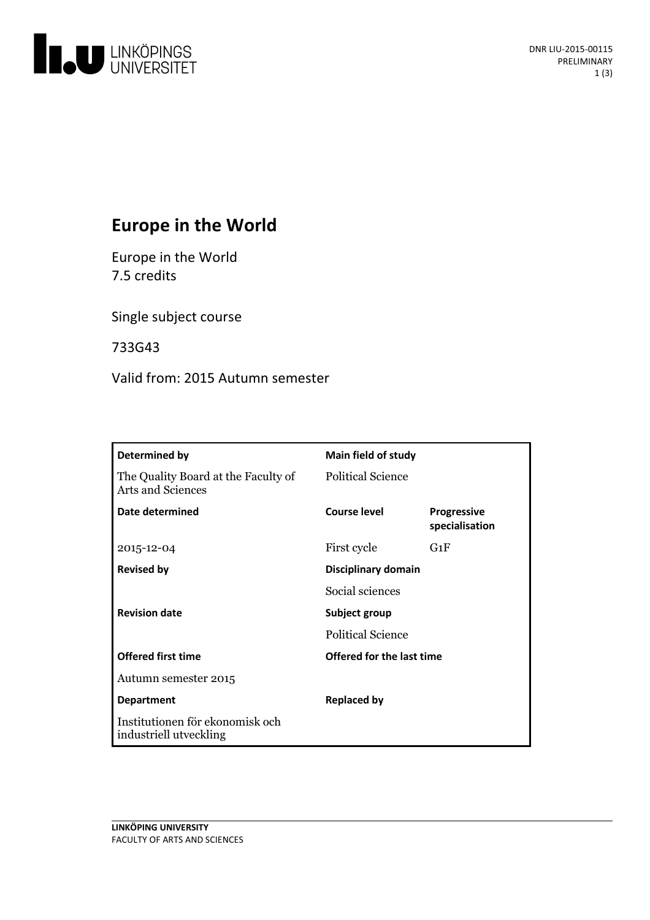

# **Europe in the World**

Europe in the World 7.5 credits

Single subject course

733G43

Valid from: 2015 Autumn semester

| Determined by                                                   | <b>Main field of study</b> |                                      |
|-----------------------------------------------------------------|----------------------------|--------------------------------------|
| The Quality Board at the Faculty of<br><b>Arts and Sciences</b> | <b>Political Science</b>   |                                      |
| Date determined                                                 | Course level               | <b>Progressive</b><br>specialisation |
| 2015-12-04                                                      | First cycle                | $G_1F$                               |
| <b>Revised by</b>                                               | Disciplinary domain        |                                      |
|                                                                 | Social sciences            |                                      |
| <b>Revision date</b>                                            | Subject group              |                                      |
|                                                                 | <b>Political Science</b>   |                                      |
| <b>Offered first time</b>                                       | Offered for the last time  |                                      |
| Autumn semester 2015                                            |                            |                                      |
| <b>Department</b>                                               | <b>Replaced by</b>         |                                      |
| Institutionen för ekonomisk och<br>industriell utveckling       |                            |                                      |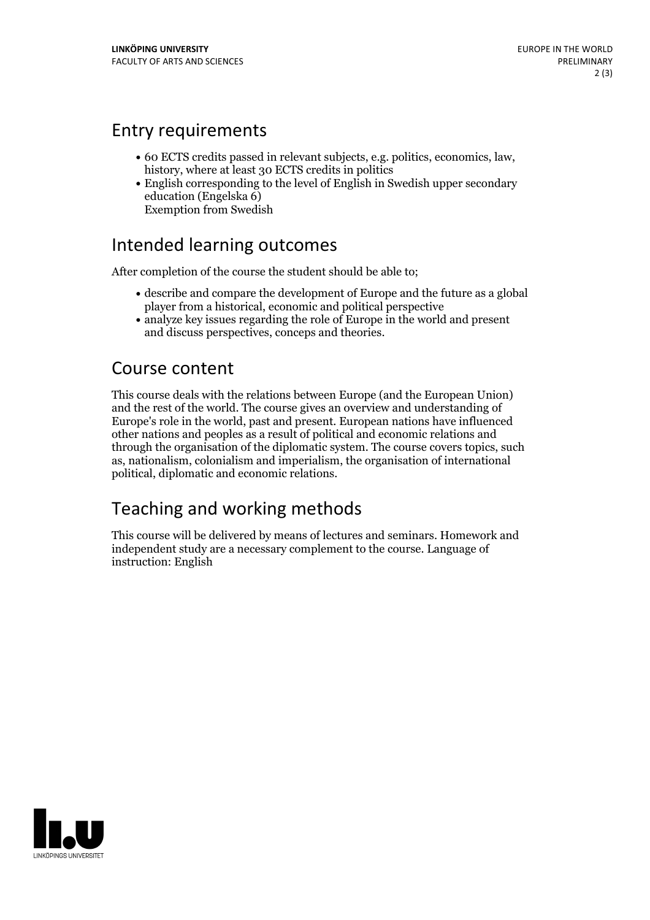### Entry requirements

- <sup>60</sup> ECTS credits passed in relevant subjects, e.g. politics, economics, law, history, where at least <sup>30</sup> ECTS credits in politics
- English corresponding to the level of English in Swedish upper secondary education (Engelska 6) Exemption from Swedish

### Intended learning outcomes

After completion of the course the student should be able to;

- describe and compare the development of Europe and the future as a global player from a historical, economic and political perspective
- analyze key issues regarding the role of Europe in the world and present and discuss perspectives, conceps and theories.

### Course content

This course deals with the relations between Europe (and the European Union) and the rest of the world. The course gives an overview and understanding of Europe's role in the world, past and present. European nations have influenced other nations and peoples as a result of political and economic relations and through the organisation of the diplomatic system. The course covers topics, such as, nationalism, colonialism and imperialism, the organisation of international political, diplomatic and economic relations.

# Teaching and working methods

This course will be delivered by means of lectures and seminars. Homework and independent study are a necessary complement to the course. Language of instruction: English